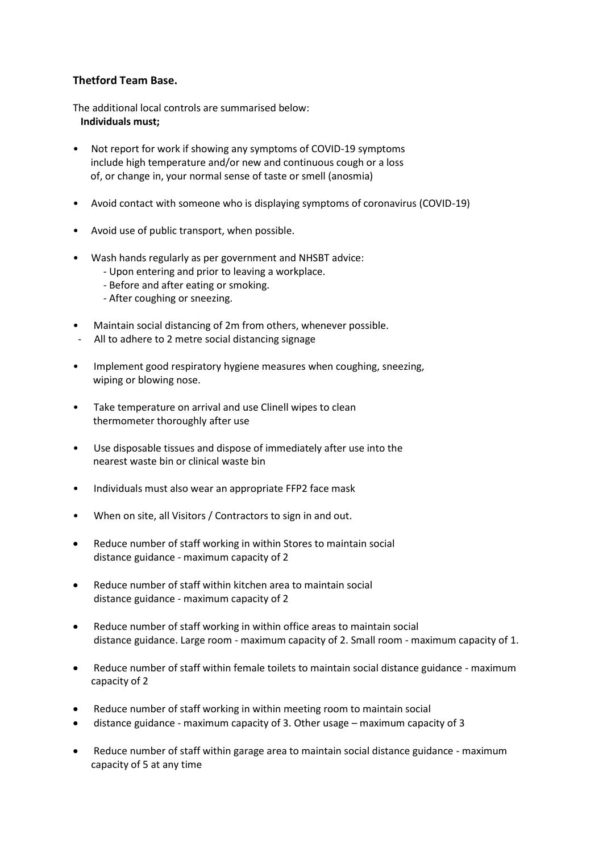## **Thetford Team Base.**

The additional local controls are summarised below:  **Individuals must;** 

- Not report for work if showing any symptoms of COVID-19 symptoms include high temperature and/or new and continuous cough or a loss of, or change in, your normal sense of taste or smell (anosmia)
- Avoid contact with someone who is displaying symptoms of coronavirus (COVID-19)
- Avoid use of public transport, when possible.
- Wash hands regularly as per government and NHSBT advice:
	- Upon entering and prior to leaving a workplace.
	- Before and after eating or smoking.
	- After coughing or sneezing.
- Maintain social distancing of 2m from others, whenever possible.
- All to adhere to 2 metre social distancing signage
- Implement good respiratory hygiene measures when coughing, sneezing, wiping or blowing nose.
- Take temperature on arrival and use Clinell wipes to clean thermometer thoroughly after use
- Use disposable tissues and dispose of immediately after use into the nearest waste bin or clinical waste bin
- Individuals must also wear an appropriate FFP2 face mask
- When on site, all Visitors / Contractors to sign in and out.
- Reduce number of staff working in within Stores to maintain social distance guidance - maximum capacity of 2
- Reduce number of staff within kitchen area to maintain social distance guidance - maximum capacity of 2
- Reduce number of staff working in within office areas to maintain social distance guidance. Large room - maximum capacity of 2. Small room - maximum capacity of 1.
- Reduce number of staff within female toilets to maintain social distance guidance maximum capacity of 2
- Reduce number of staff working in within meeting room to maintain social
- distance guidance maximum capacity of 3. Other usage maximum capacity of 3
- Reduce number of staff within garage area to maintain social distance guidance maximum capacity of 5 at any time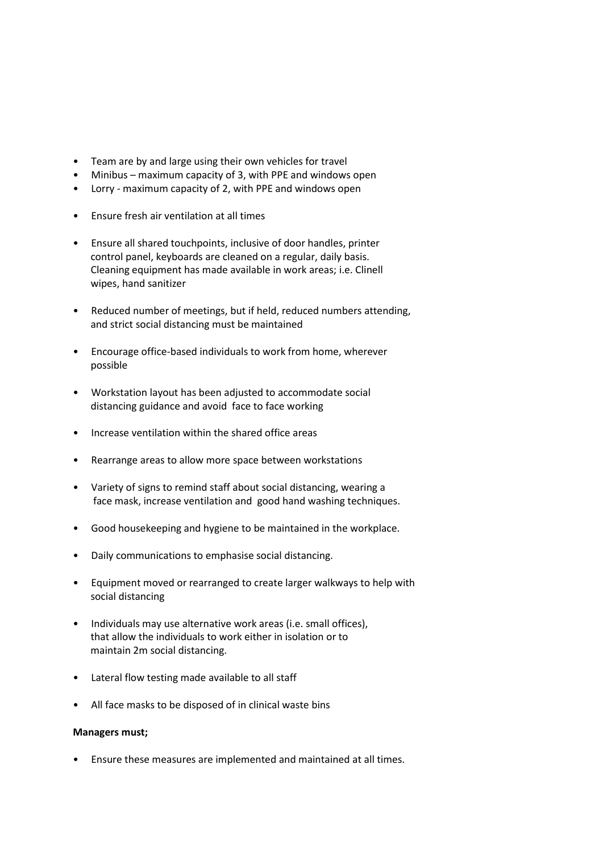- Team are by and large using their own vehicles for travel
- Minibus maximum capacity of 3, with PPE and windows open
- Lorry maximum capacity of 2, with PPE and windows open
- Ensure fresh air ventilation at all times
- Ensure all shared touchpoints, inclusive of door handles, printer control panel, keyboards are cleaned on a regular, daily basis. Cleaning equipment has made available in work areas; i.e. Clinell wipes, hand sanitizer
- Reduced number of meetings, but if held, reduced numbers attending, and strict social distancing must be maintained
- Encourage office-based individuals to work from home, wherever possible
- Workstation layout has been adjusted to accommodate social distancing guidance and avoid face to face working
- Increase ventilation within the shared office areas
- Rearrange areas to allow more space between workstations
- Variety of signs to remind staff about social distancing, wearing a face mask, increase ventilation and good hand washing techniques.
- Good housekeeping and hygiene to be maintained in the workplace.
- Daily communications to emphasise social distancing.
- Equipment moved or rearranged to create larger walkways to help with social distancing
- Individuals may use alternative work areas (i.e. small offices), that allow the individuals to work either in isolation or to maintain 2m social distancing.
- Lateral flow testing made available to all staff
- All face masks to be disposed of in clinical waste bins

## **Managers must;**

• Ensure these measures are implemented and maintained at all times.